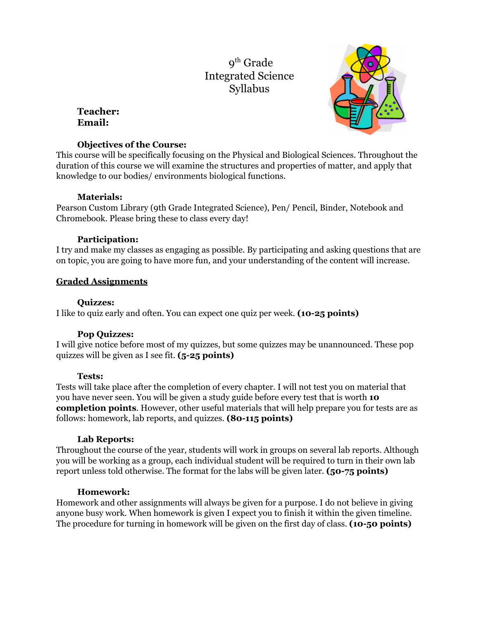# 9<sup>th</sup> Grade Integrated Science Syllabus

## **Teacher: Email:**



### **Objectives of the Course:**

This course will be specifically focusing on the Physical and Biological Sciences. Throughout the duration of this course we will examine the structures and properties of matter, and apply that knowledge to our bodies/ environments biological functions.

## **Materials:**

Pearson Custom Library (9th Grade Integrated Science), Pen/ Pencil, Binder, Notebook and Chromebook. Please bring these to class every day!

## **Participation:**

I try and make my classes as engaging as possible. By participating and asking questions that are on topic, you are going to have more fun, and your understanding of the content will increase.

## **Graded Assignments**

## **Quizzes:**

I like to quiz early and often. You can expect one quiz per week. **(10-25 points)**

## **Pop Quizzes:**

I will give notice before most of my quizzes, but some quizzes may be unannounced. These pop quizzes will be given as I see fit. **(5-25 points)**

## **Tests:**

Tests will take place after the completion of every chapter. I will not test you on material that you have never seen. You will be given a study guide before every test that is worth **10 completion points**. However, other useful materials that will help prepare you for tests are as follows: homework, lab reports, and quizzes. **(80-115 points)**

## **Lab Reports:**

Throughout the course of the year, students will work in groups on several lab reports. Although you will be working as a group, each individual student will be required to turn in their own lab report unless told otherwise. The format for the labs will be given later. **(50-75 points)**

## **Homework:**

Homework and other assignments will always be given for a purpose. I do not believe in giving anyone busy work. When homework is given I expect you to finish it within the given timeline. The procedure for turning in homework will be given on the first day of class. **(10-50 points)**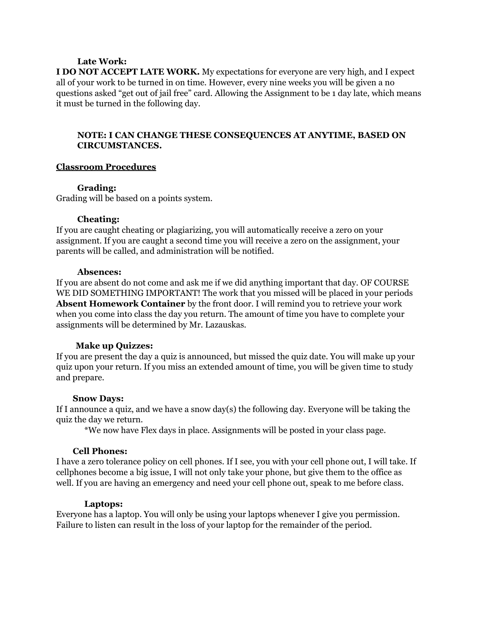### **Late Work:**

**I DO NOT ACCEPT LATE WORK.** My expectations for everyone are very high, and I expect all of your work to be turned in on time. However, every nine weeks you will be given a no questions asked "get out of jail free" card. Allowing the Assignment to be 1 day late, which means it must be turned in the following day.

### **NOTE: I CAN CHANGE THESE CONSEQUENCES AT ANYTIME, BASED ON CIRCUMSTANCES.**

### **Classroom Procedures**

### **Grading:**

Grading will be based on a points system.

### **Cheating:**

If you are caught cheating or plagiarizing, you will automatically receive a zero on your assignment. If you are caught a second time you will receive a zero on the assignment, your parents will be called, and administration will be notified.

#### **Absences:**

If you are absent do not come and ask me if we did anything important that day. OF COURSE WE DID SOMETHING IMPORTANT! The work that you missed will be placed in your periods **Absent Homework Container** by the front door. I will remind you to retrieve your work when you come into class the day you return. The amount of time you have to complete your assignments will be determined by Mr. Lazauskas.

### **Make up Quizzes:**

If you are present the day a quiz is announced, but missed the quiz date. You will make up your quiz upon your return. If you miss an extended amount of time, you will be given time to study and prepare.

### **Snow Days:**

If I announce a quiz, and we have a snow day(s) the following day. Everyone will be taking the quiz the day we return.

\*We now have Flex days in place. Assignments will be posted in your class page.

### **Cell Phones:**

I have a zero tolerance policy on cell phones. If I see, you with your cell phone out, I will take. If cellphones become a big issue, I will not only take your phone, but give them to the office as well. If you are having an emergency and need your cell phone out, speak to me before class.

#### **Laptops:**

Everyone has a laptop. You will only be using your laptops whenever I give you permission. Failure to listen can result in the loss of your laptop for the remainder of the period.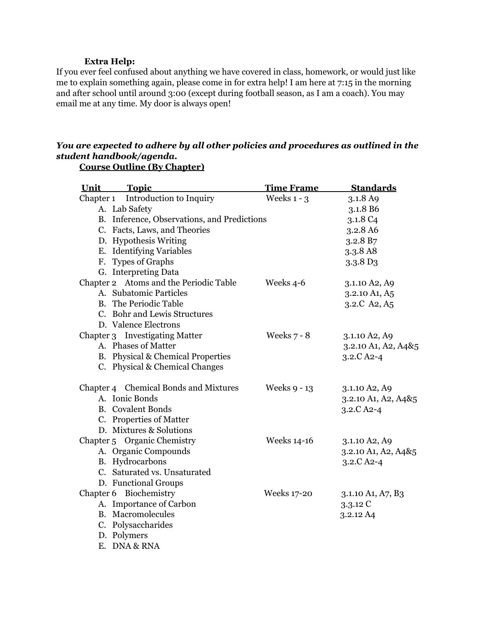### **Extra Help:**

If you ever feel confused about anything we have covered in class, homework, or would just like me to explain something again, please come in for extra help! I am here at 7:15 in the morning and after school until around 3:00 (except during football season, as I am a coach). You may email me at any time. My door is always open!

## *You are expected to adhere by all other policies and procedures as outlined in the student handbook/agenda.*

| Unit | <b>Topic</b>                                | <b>Time Frame</b>  | <b>Standards</b>     |
|------|---------------------------------------------|--------------------|----------------------|
|      | Chapter 1 Introduction to Inquiry           | Weeks $1 - 3$      | 3.1.8 A9             |
|      | A. Lab Safety                               |                    | 3.1.8 B6             |
|      | B. Inference, Observations, and Predictions |                    | 3.1.8 C <sub>4</sub> |
|      | C. Facts, Laws, and Theories                |                    | 3.2.8 A6             |
|      | D. Hypothesis Writing                       |                    | 3.2.8 B7             |
|      | E. Identifying Variables                    |                    | 3.3.8 A8             |
|      | F. Types of Graphs                          |                    | 3.3.8 D <sub>3</sub> |
|      | G. Interpreting Data                        |                    |                      |
|      | Chapter 2 Atoms and the Periodic Table      | Weeks 4-6          | 3.1.10 A2, A9        |
|      | A. Subatomic Particles                      |                    | 3.2.10 A1, A5        |
|      | <b>B.</b> The Periodic Table                |                    | 3.2.C A2, A5         |
|      | C. Bohr and Lewis Structures                |                    |                      |
|      | D. Valence Electrons                        |                    |                      |
|      | Chapter 3 Investigating Matter              | Weeks $7 - 8$      | 3.1.10 A2, A9        |
|      | A. Phases of Matter                         |                    | 3.2.10 A1, A2, A4&5  |
|      | B. Physical & Chemical Properties           |                    | $3.2.C$ A2-4         |
|      | C. Physical & Chemical Changes              |                    |                      |
|      | Chapter 4 Chemical Bonds and Mixtures       | Weeks 9 - 13       | 3.1.10 A2, A9        |
|      | A. Ionic Bonds                              |                    | 3.2.10 A1, A2, A4&5  |
|      | <b>B.</b> Covalent Bonds                    |                    | $3.2.C$ A2-4         |
|      | C. Properties of Matter                     |                    |                      |
|      | D. Mixtures & Solutions                     |                    |                      |
|      | Chapter 5 Organic Chemistry                 | <b>Weeks 14-16</b> | 3.1.10 A2, A9        |
|      | A. Organic Compounds                        |                    | 3.2.10 A1, A2, A4&5  |
|      | B. Hydrocarbons                             |                    | $3.2.C$ A2-4         |
|      | C. Saturated vs. Unsaturated                |                    |                      |
|      | D. Functional Groups                        |                    |                      |
|      | Chapter 6 Biochemistry                      | <b>Weeks 17-20</b> | 3.1.10 A1, A7, B3    |
|      | A. Importance of Carbon                     |                    | 3.3.12 C             |
|      | <b>B.</b> Macromolecules                    |                    | 3.2.12 A4            |
|      | C. Polysaccharides                          |                    |                      |
|      | D. Polymers                                 |                    |                      |
|      | E. DNA & RNA                                |                    |                      |

**Course Outline (By Chapter)**